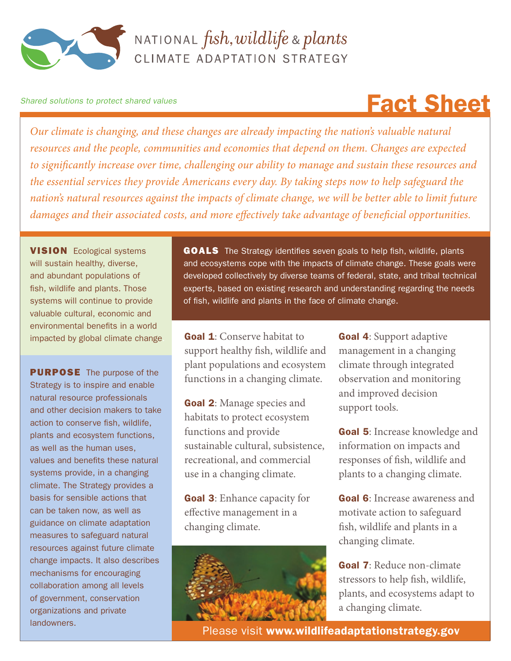

### NATIONAL  $fish, wildlife$  & plants CLIMATE ADAPTATION STRATEGY

#### *Shared solutions to protect shared values*

## Fact Sheet

*Our climate is changing, and these changes are already impacting the nation's valuable natural resources and the people, communities and economies that depend on them. Changes are expected to significantly increase over time, challenging our ability to manage and sustain these resources and the essential services they provide Americans every day. By taking steps now to help safeguard the nation's natural resources against the impacts of climate change, we will be better able to limit future damages and their associated costs, and more effectively take advantage of beneficial opportunities.*

**VISION** Ecological systems will sustain healthy, diverse, and abundant populations of fish, wildlife and plants. Those systems will continue to provide valuable cultural, economic and environmental benefits in a world impacted by global climate change.

**PURPOSE** The purpose of the Strategy is to inspire and enable natural resource professionals and other decision makers to take action to conserve fish, wildlife, plants and ecosystem functions, as well as the human uses, values and benefits these natural systems provide, in a changing climate. The Strategy provides a basis for sensible actions that can be taken now, as well as guidance on climate adaptation measures to safeguard natural resources against future climate change impacts. It also describes mechanisms for encouraging collaboration among all levels of government, conservation organizations and private landowners.

**GOALS** The Strategy identifies seven goals to help fish, wildlife, plants and ecosystems cope with the impacts of climate change. These goals were developed collectively by diverse teams of federal, state, and tribal technical experts, based on existing research and understanding regarding the needs of fish, wildlife and plants in the face of climate change.

Goal 1: Conserve habitat to support healthy fish, wildlife and plant populations and ecosystem functions in a changing climate.

Goal 2: Manage species and habitats to protect ecosystem functions and provide sustainable cultural, subsistence, recreational, and commercial use in a changing climate.

Goal 3: Enhance capacity for effective management in a changing climate.



Goal 4: Support adaptive management in a changing climate through integrated observation and monitoring and improved decision support tools.

Goal 5: Increase knowledge and information on impacts and responses of fish, wildlife and plants to a changing climate.

Goal 6: Increase awareness and motivate action to safeguard fish, wildlife and plants in a changing climate.

Goal 7: Reduce non-climate stressors to help fish, wildlife, plants, and ecosystems adapt to a changing climate.

Please visit www.wildlifeadaptationstrategy.gov